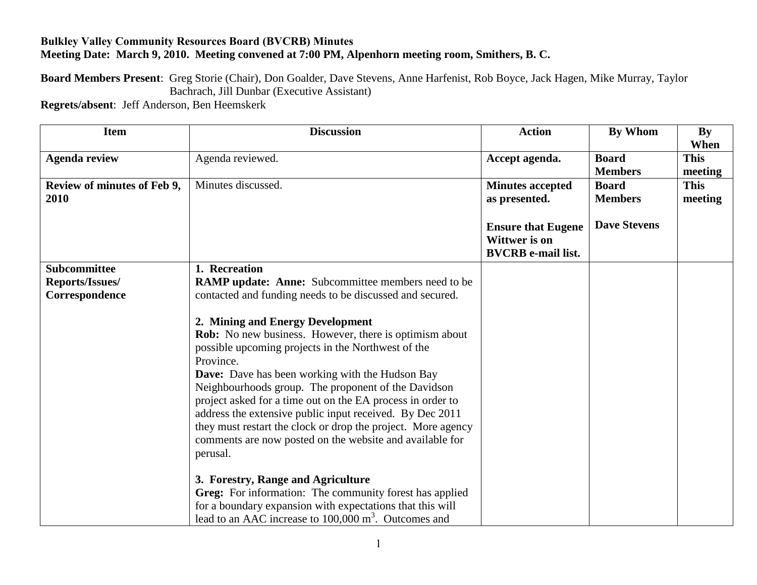## **Bulkley Valley Community Resources Board (BVCRB) Minutes Meeting Date: March 9, 2010. Meeting convened at 7:00 PM, Alpenhorn meeting room, Smithers, B. C.**

**Board Members Present**: Greg Storie (Chair), Don Goalder, Dave Stevens, Anne Harfenist, Rob Boyce, Jack Hagen, Mike Murray, Taylor Bachrach, Jill Dunbar (Executive Assistant)

**Regrets/absent**: Jeff Anderson, Ben Heemskerk

| <b>Item</b>                 | <b>Discussion</b>                                                | <b>Action</b>             | <b>By Whom</b>      | <b>By</b>   |
|-----------------------------|------------------------------------------------------------------|---------------------------|---------------------|-------------|
|                             |                                                                  |                           |                     | When        |
| <b>Agenda review</b>        | Agenda reviewed.                                                 | Accept agenda.            | <b>Board</b>        | <b>This</b> |
|                             |                                                                  |                           | <b>Members</b>      | meeting     |
| Review of minutes of Feb 9, | Minutes discussed.                                               | <b>Minutes accepted</b>   | <b>Board</b>        | <b>This</b> |
| 2010                        |                                                                  | as presented.             | <b>Members</b>      | meeting     |
|                             |                                                                  |                           |                     |             |
|                             |                                                                  | <b>Ensure that Eugene</b> | <b>Dave Stevens</b> |             |
|                             |                                                                  | Wittwer is on             |                     |             |
|                             |                                                                  | <b>BVCRB</b> e-mail list. |                     |             |
| <b>Subcommittee</b>         | 1. Recreation                                                    |                           |                     |             |
| Reports/Issues/             | <b>RAMP update: Anne:</b> Subcommittee members need to be        |                           |                     |             |
| Correspondence              | contacted and funding needs to be discussed and secured.         |                           |                     |             |
|                             |                                                                  |                           |                     |             |
|                             | 2. Mining and Energy Development                                 |                           |                     |             |
|                             | <b>Rob:</b> No new business. However, there is optimism about    |                           |                     |             |
|                             | possible upcoming projects in the Northwest of the               |                           |                     |             |
|                             | Province.                                                        |                           |                     |             |
|                             | Dave: Dave has been working with the Hudson Bay                  |                           |                     |             |
|                             | Neighbourhoods group. The proponent of the Davidson              |                           |                     |             |
|                             | project asked for a time out on the EA process in order to       |                           |                     |             |
|                             | address the extensive public input received. By Dec 2011         |                           |                     |             |
|                             | they must restart the clock or drop the project. More agency     |                           |                     |             |
|                             | comments are now posted on the website and available for         |                           |                     |             |
|                             | perusal.                                                         |                           |                     |             |
|                             |                                                                  |                           |                     |             |
|                             | 3. Forestry, Range and Agriculture                               |                           |                     |             |
|                             | Greg: For information: The community forest has applied          |                           |                     |             |
|                             | for a boundary expansion with expectations that this will        |                           |                     |             |
|                             | lead to an AAC increase to 100,000 m <sup>3</sup> . Outcomes and |                           |                     |             |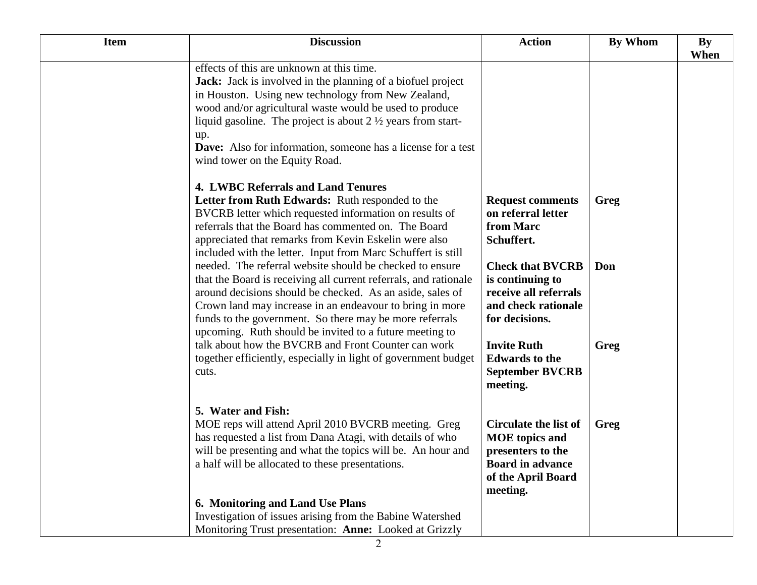| <b>Item</b> | <b>Discussion</b>                                                                                                                                                                                                                                                                                                                                                                                                           | <b>Action</b>                                                                                                                           | By Whom | By<br>When |
|-------------|-----------------------------------------------------------------------------------------------------------------------------------------------------------------------------------------------------------------------------------------------------------------------------------------------------------------------------------------------------------------------------------------------------------------------------|-----------------------------------------------------------------------------------------------------------------------------------------|---------|------------|
|             | effects of this are unknown at this time.<br><b>Jack:</b> Jack is involved in the planning of a biofuel project<br>in Houston. Using new technology from New Zealand,<br>wood and/or agricultural waste would be used to produce<br>liquid gasoline. The project is about $2 \frac{1}{2}$ years from start-<br>up.<br><b>Dave:</b> Also for information, someone has a license for a test<br>wind tower on the Equity Road. |                                                                                                                                         |         |            |
|             | <b>4. LWBC Referrals and Land Tenures</b><br>Letter from Ruth Edwards: Ruth responded to the<br>BVCRB letter which requested information on results of<br>referrals that the Board has commented on. The Board<br>appreciated that remarks from Kevin Eskelin were also<br>included with the letter. Input from Marc Schuffert is still                                                                                     | <b>Request comments</b><br>on referral letter<br>from Marc<br>Schuffert.                                                                | Greg    |            |
|             | needed. The referral website should be checked to ensure<br>that the Board is receiving all current referrals, and rationale<br>around decisions should be checked. As an aside, sales of<br>Crown land may increase in an endeavour to bring in more<br>funds to the government. So there may be more referrals<br>upcoming. Ruth should be invited to a future meeting to                                                 | <b>Check that BVCRB</b><br>is continuing to<br>receive all referrals<br>and check rationale<br>for decisions.                           | Don     |            |
|             | talk about how the BVCRB and Front Counter can work<br>together efficiently, especially in light of government budget<br>cuts.                                                                                                                                                                                                                                                                                              | <b>Invite Ruth</b><br><b>Edwards</b> to the<br><b>September BVCRB</b><br>meeting.                                                       | Greg    |            |
|             | 5. Water and Fish:<br>MOE reps will attend April 2010 BVCRB meeting. Greg<br>has requested a list from Dana Atagi, with details of who<br>will be presenting and what the topics will be. An hour and<br>a half will be allocated to these presentations.                                                                                                                                                                   | <b>Circulate the list of</b><br><b>MOE</b> topics and<br>presenters to the<br><b>Board in advance</b><br>of the April Board<br>meeting. | Greg    |            |
|             | 6. Monitoring and Land Use Plans<br>Investigation of issues arising from the Babine Watershed                                                                                                                                                                                                                                                                                                                               |                                                                                                                                         |         |            |
|             | Monitoring Trust presentation: Anne: Looked at Grizzly                                                                                                                                                                                                                                                                                                                                                                      |                                                                                                                                         |         |            |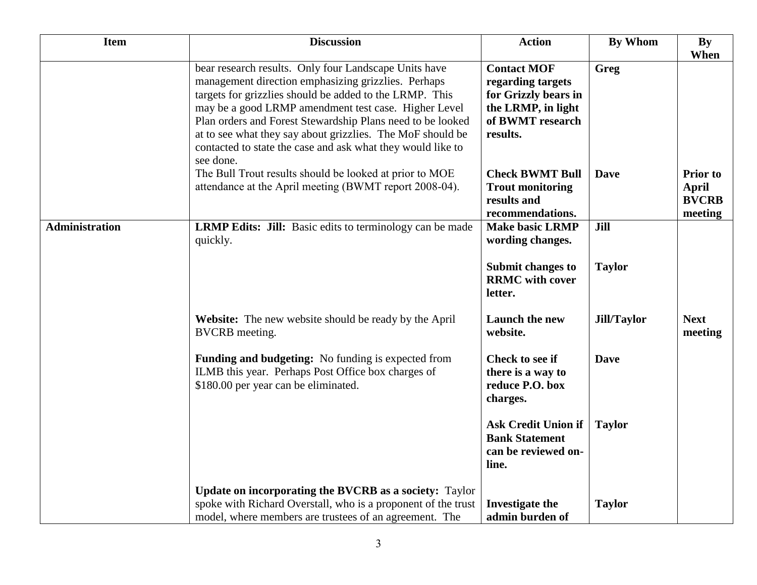| <b>Item</b>           | <b>Discussion</b>                                                                                                                                                                                                                                                                                                                                                                                                                       | <b>Action</b>                                                                                                         | <b>By Whom</b>     | <b>By</b><br>When                                          |
|-----------------------|-----------------------------------------------------------------------------------------------------------------------------------------------------------------------------------------------------------------------------------------------------------------------------------------------------------------------------------------------------------------------------------------------------------------------------------------|-----------------------------------------------------------------------------------------------------------------------|--------------------|------------------------------------------------------------|
|                       | bear research results. Only four Landscape Units have<br>management direction emphasizing grizzlies. Perhaps<br>targets for grizzlies should be added to the LRMP. This<br>may be a good LRMP amendment test case. Higher Level<br>Plan orders and Forest Stewardship Plans need to be looked<br>at to see what they say about grizzlies. The MoF should be<br>contacted to state the case and ask what they would like to<br>see done. | <b>Contact MOF</b><br>regarding targets<br>for Grizzly bears in<br>the LRMP, in light<br>of BWMT research<br>results. | Greg               |                                                            |
|                       | The Bull Trout results should be looked at prior to MOE<br>attendance at the April meeting (BWMT report 2008-04).                                                                                                                                                                                                                                                                                                                       | <b>Check BWMT Bull</b><br><b>Trout monitoring</b><br>results and<br>recommendations.                                  | <b>Dave</b>        | <b>Prior</b> to<br><b>April</b><br><b>BVCRB</b><br>meeting |
| <b>Administration</b> | <b>LRMP Edits: Jill:</b> Basic edits to terminology can be made<br>quickly.                                                                                                                                                                                                                                                                                                                                                             | <b>Make basic LRMP</b><br>wording changes.                                                                            | Jill               |                                                            |
|                       |                                                                                                                                                                                                                                                                                                                                                                                                                                         | <b>Submit changes to</b><br><b>RRMC</b> with cover<br>letter.                                                         | <b>Taylor</b>      |                                                            |
|                       | Website: The new website should be ready by the April<br><b>BVCRB</b> meeting.                                                                                                                                                                                                                                                                                                                                                          | <b>Launch the new</b><br>website.                                                                                     | <b>Jill/Taylor</b> | <b>Next</b><br>meeting                                     |
|                       | Funding and budgeting: No funding is expected from<br>ILMB this year. Perhaps Post Office box charges of<br>\$180.00 per year can be eliminated.                                                                                                                                                                                                                                                                                        | <b>Check to see if</b><br>there is a way to<br>reduce P.O. box<br>charges.                                            | <b>Dave</b>        |                                                            |
|                       |                                                                                                                                                                                                                                                                                                                                                                                                                                         | <b>Ask Credit Union if</b><br><b>Bank Statement</b><br>can be reviewed on-<br>line.                                   | <b>Taylor</b>      |                                                            |
|                       | Update on incorporating the BVCRB as a society: Taylor<br>spoke with Richard Overstall, who is a proponent of the trust<br>model, where members are trustees of an agreement. The                                                                                                                                                                                                                                                       | Investigate the<br>admin burden of                                                                                    | <b>Taylor</b>      |                                                            |